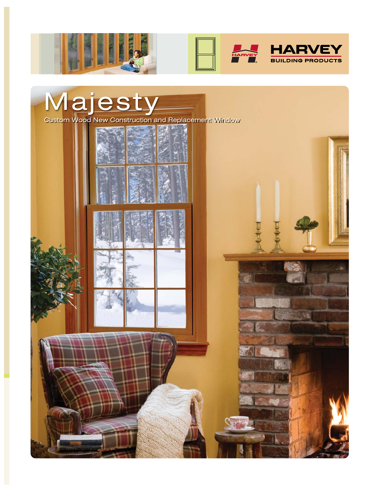







Custom Wood New Construction and Replacement Window

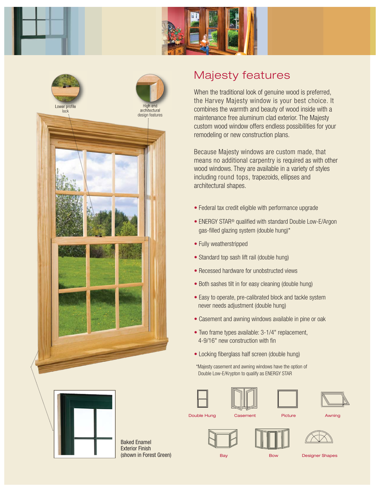



## Majesty features

When the traditional look of genuine wood is preferred, the Harvey Majesty window is your best choice. It combines the warmth and beauty of wood inside with a maintenance free aluminum clad exterior. The Majesty custom wood window offers endless possibilities for your remodeling or new construction plans.

Because Majesty windows are custom made, that means no additional carpentry is required as with other wood windows. They are available in a variety of styles including round tops, trapezoids, ellipses and architectural shapes.

- Federal tax credit eligible with performance upgrade
- ENERGY STAR<sup>®</sup> qualified with standard Double Low-E/Argon gas-filled glazing system (double hung)\*
- Fully weatherstripped
- Standard top sash lift rail (double hung)
- Recessed hardware for unobstructed views
- Both sashes tilt in for easy cleaning (double hung)
- Easy to operate, pre-calibrated block and tackle system never needs adjustment (double hung)
- Casement and awning windows available in pine or oak
- Two frame types available: 3-1/4" replacement, 4-9/16" new construction with fin
- Locking fiberglass half screen (double hung)
- \*Majesty casement and awning windows have the option of Double Low-E/Krypton to qualify as ENERGY STAR









Baked Enamel Exterior Finish (shown in Forest Green)

**Double Hung Casement Casement** Picture Awning







Bay Bow Designer Shapes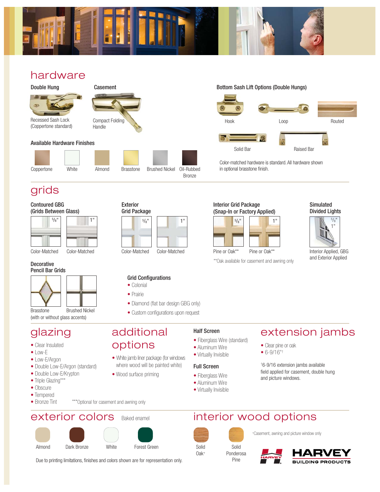

## hardware



(Coppertone standard)

# Compact Folding Handle

#### Available Hardware Finishes



Exterior Grid Package

## grids

#### Contoured GBG (Grids Between Glass)

| $5/8$ <sup>11</sup> |               |  |  |  |  |
|---------------------|---------------|--|--|--|--|
|                     |               |  |  |  |  |
|                     |               |  |  |  |  |
|                     |               |  |  |  |  |
|                     |               |  |  |  |  |
|                     |               |  |  |  |  |
| Color-Matched       | Color-Matched |  |  |  |  |

## **Decorative**



(with or without glass accents) Brasstone Brushed Nickel

## glazing

- Clear Insulated
- $\bullet$  Low-F
- Low-E/Argon
- Double Low-E/Argon (standard)
- Double Low-E/Krypton
- Triple Glazing\*\*\*
- Obscure
- Tempered
- Bronze Tint



## exterior colors Baked enamel







Due to printing limitations, finishes and colors shown are for representation only.

# Hook Loop Routed



Color-matched hardware is standard. All hardware shown in optional brasstone finish.



#### Simulated Divided Lights



and Exterior Applied

\*\*Oak available for casement and awning only

## Half Screen

- Fiberglass Wire (standard)
- Aluminum Wire
- Virtually Invisible

## Full Screen

Solid Oak+

- Fiberglass Wire
- Aluminum Wire
- Virtually Invisible

## extension jambs

- Clear pine or oak
- 6-9/16"†

†6-9/16 extension jambs available field applied for casement, double hung and picture windows.

interior wood options



+Casement, awning and picture window only







- Diamond (flat bar design GBG only)
- Custom configurations upon request

additional

• White jamb liner package (for windows where wood will be painted white)

options

• Wood surface priming

### Grid Configurations • Colonial • Prairie

Color-Matched Color-Matched Pine or Oak\*\* Pine or Oak\*\* Pine or Oak\*\* Interior Applied, GBG

Bronze

Casement **Bottom Sash Lift Options (Double Hungs)** Bottom Sash Lift Options (Double Hungs)

## Interior Grid Package (Snap-In or Factory Applied)